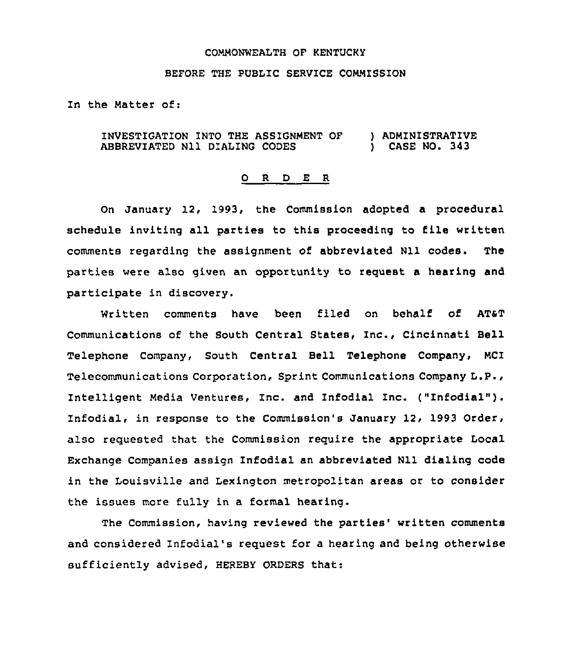## COMMONWEALTH OF KENTUCKY

## BEFORE THE PUBLIC SERVICE COMMISSION

In the Matter of:

INVESTIGATION INTO THE ASSIGNMENT OF ) ADMINISTRATIVE<br>ABBREVIATED N11 DIALING CODES ) CASE NO. 343 ABBREVIATED N11 DIALING CODES

## 0 R <sup>D</sup> E <sup>R</sup>

On January 12, 1993, the Commission adopted a procedural schedule inviting all parties to this proceeding to file written comments regarding the assignment of abbreviated Nll codes. The parties were also given an opportunity to request a hearing and participate in discovery.

Written comments have been filed on behalf of AT&T Communications of the South Central States, Inc., Cincinnati Bell Telephone Company, South Central Bell Telephone Company, MCI Telecommunications Corporation, Sprint Communications Company L.P., Intelligent Media Ventures, Inc. and Infodial Inc. ("Infodial"). Infodial, in response to the Commission's January 12, 1993 Order, also requested that the Commission require the appropriate Local Exchange Companies assign Infodial an abbreviated Nll dialing code in the Louisville and Lexington metropolitan areas or to consider the issues more fully in a formal hearing.

The Commission, having reviewed the parties' written comments and considered Infodial's request for a hearing and being otherwise sufficiently advised, HEREBY ORDERS that: